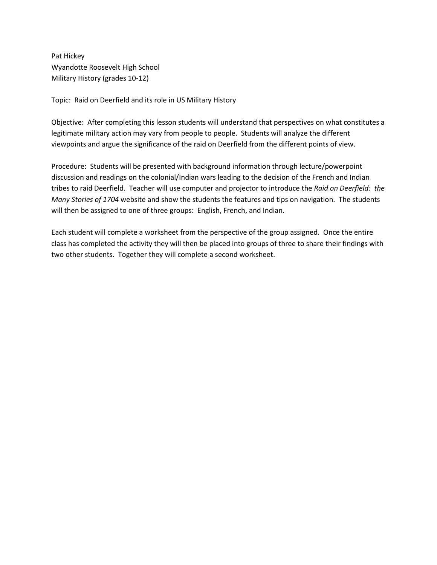Pat Hickey Wyandotte Roosevelt High School Military History (grades 10-12)

Topic: Raid on Deerfield and its role in US Military History

Objective: After completing this lesson students will understand that perspectives on what constitutes a legitimate military action may vary from people to people. Students will analyze the different viewpoints and argue the significance of the raid on Deerfield from the different points of view.

Procedure: Students will be presented with background information through lecture/powerpoint discussion and readings on the colonial/Indian wars leading to the decision of the French and Indian tribes to raid Deerfield. Teacher will use computer and projector to introduce the *Raid on Deerfield: the Many Stories of 1704* website and show the students the features and tips on navigation. The students will then be assigned to one of three groups: English, French, and Indian.

Each student will complete a worksheet from the perspective of the group assigned. Once the entire class has completed the activity they will then be placed into groups of three to share their findings with two other students. Together they will complete a second worksheet.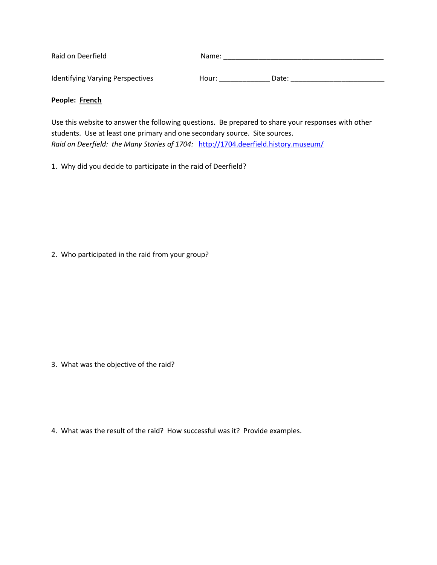| Raid on Deerfield                       | Name: |       |
|-----------------------------------------|-------|-------|
| <b>Identifying Varying Perspectives</b> | Hour: | Date: |

## **People: French**

Use this website to answer the following questions. Be prepared to share your responses with other students. Use at least one primary and one secondary source. Site sources. *Raid on Deerfield: the Many Stories of 1704:* <http://1704.deerfield.history.museum/>

1. Why did you decide to participate in the raid of Deerfield?

2. Who participated in the raid from your group?

3. What was the objective of the raid?

4. What was the result of the raid? How successful was it? Provide examples.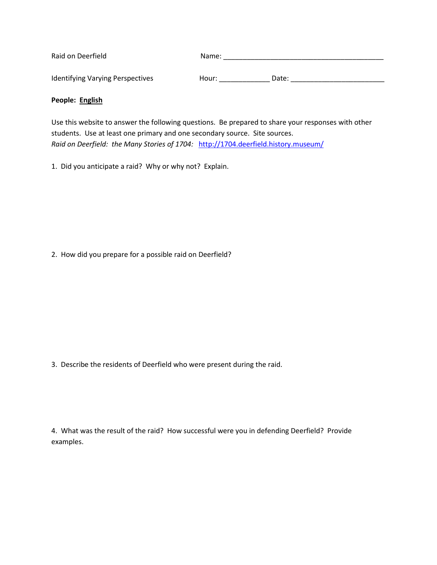| Raid on Deerfield                       | Name: |       |
|-----------------------------------------|-------|-------|
| <b>Identifying Varying Perspectives</b> | Hour: | Date: |

## **People: English**

Use this website to answer the following questions. Be prepared to share your responses with other students. Use at least one primary and one secondary source. Site sources. *Raid on Deerfield: the Many Stories of 1704:* <http://1704.deerfield.history.museum/>

1. Did you anticipate a raid? Why or why not? Explain.

2. How did you prepare for a possible raid on Deerfield?

3. Describe the residents of Deerfield who were present during the raid.

4. What was the result of the raid? How successful were you in defending Deerfield? Provide examples.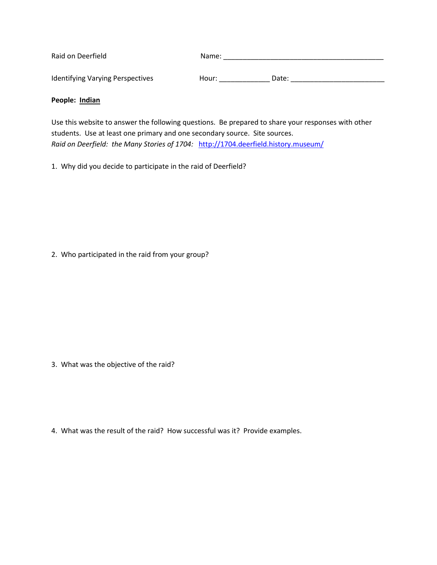| Raid on Deerfield                       | Name: |       |
|-----------------------------------------|-------|-------|
| <b>Identifying Varying Perspectives</b> | Hour: | Date: |

## **People: Indian**

Use this website to answer the following questions. Be prepared to share your responses with other students. Use at least one primary and one secondary source. Site sources. *Raid on Deerfield: the Many Stories of 1704:* <http://1704.deerfield.history.museum/>

1. Why did you decide to participate in the raid of Deerfield?

2. Who participated in the raid from your group?

3. What was the objective of the raid?

4. What was the result of the raid? How successful was it? Provide examples.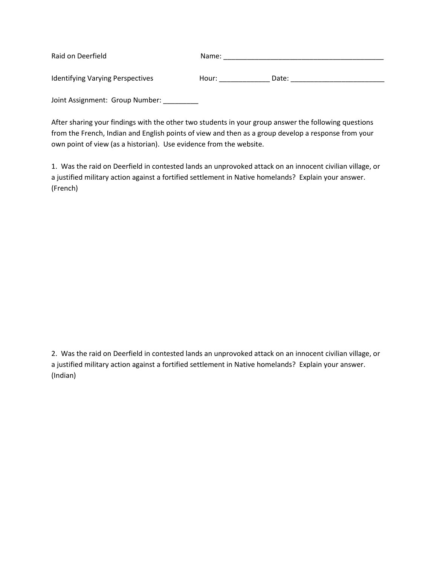| Raid on Deerfield                       | Name: |       |
|-----------------------------------------|-------|-------|
| <b>Identifying Varying Perspectives</b> | Hour: | Date: |

Joint Assignment: Group Number: \_\_\_\_\_\_\_\_

After sharing your findings with the other two students in your group answer the following questions from the French, Indian and English points of view and then as a group develop a response from your own point of view (as a historian). Use evidence from the website.

1. Was the raid on Deerfield in contested lands an unprovoked attack on an innocent civilian village, or a justified military action against a fortified settlement in Native homelands? Explain your answer. (French)

2. Was the raid on Deerfield in contested lands an unprovoked attack on an innocent civilian village, or a justified military action against a fortified settlement in Native homelands? Explain your answer. (Indian)